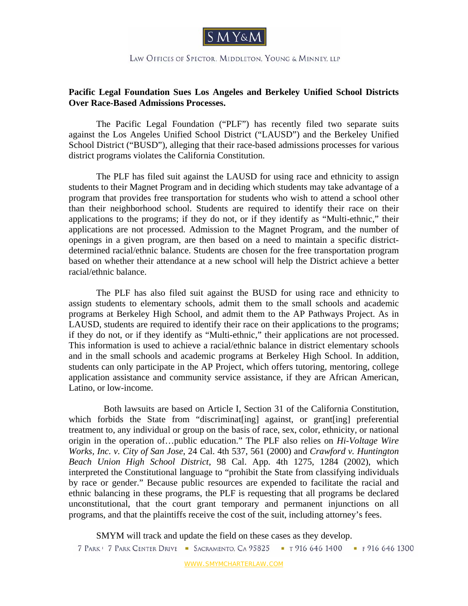

LAW OFFICES OF SPECTOR. MIDDLETON. YOUNG & MINNEY, LLP

## **Pacific Legal Foundation Sues Los Angeles and Berkeley Unified School Districts Over Race-Based Admissions Processes.**

The Pacific Legal Foundation ("PLF") has recently filed two separate suits against the Los Angeles Unified School District ("LAUSD") and the Berkeley Unified School District ("BUSD"), alleging that their race-based admissions processes for various district programs violates the California Constitution.

 The PLF has filed suit against the LAUSD for using race and ethnicity to assign students to their Magnet Program and in deciding which students may take advantage of a program that provides free transportation for students who wish to attend a school other than their neighborhood school. Students are required to identify their race on their applications to the programs; if they do not, or if they identify as "Multi-ethnic," their applications are not processed. Admission to the Magnet Program, and the number of openings in a given program, are then based on a need to maintain a specific districtdetermined racial/ethnic balance. Students are chosen for the free transportation program based on whether their attendance at a new school will help the District achieve a better racial/ethnic balance.

The PLF has also filed suit against the BUSD for using race and ethnicity to assign students to elementary schools, admit them to the small schools and academic programs at Berkeley High School, and admit them to the AP Pathways Project. As in LAUSD, students are required to identify their race on their applications to the programs; if they do not, or if they identify as "Multi-ethnic," their applications are not processed. This information is used to achieve a racial/ethnic balance in district elementary schools and in the small schools and academic programs at Berkeley High School. In addition, students can only participate in the AP Project, which offers tutoring, mentoring, college application assistance and community service assistance, if they are African American, Latino, or low-income.

 Both lawsuits are based on Article I, Section 31 of the California Constitution, which forbids the State from "discriminat[ing] against, or grant[ing] preferential treatment to, any individual or group on the basis of race, sex, color, ethnicity, or national origin in the operation of…public education." The PLF also relies on *Hi-Voltage Wire Works, Inc. v. City of San Jose*, 24 Cal. 4th 537, 561 (2000) and *Crawford v. Huntington Beach Union High School District*, 98 Cal. App. 4th 1275, 1284 (2002), which interpreted the Constitutional language to "prohibit the State from classifying individuals by race or gender." Because public resources are expended to facilitate the racial and ethnic balancing in these programs, the PLF is requesting that all programs be declared unconstitutional, that the court grant temporary and permanent injunctions on all programs, and that the plaintiffs receive the cost of the suit, including attorney's fees.

SMYM will track and update the field on these cases as they develop. 7 PARK | 7 PARK CENTER DRIVE - SACRAMENTO, CA 95825 - T 916 646 1400 - F 916 646 1300